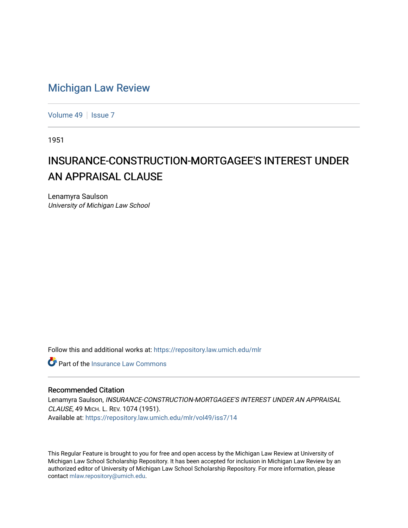## [Michigan Law Review](https://repository.law.umich.edu/mlr)

[Volume 49](https://repository.law.umich.edu/mlr/vol49) | [Issue 7](https://repository.law.umich.edu/mlr/vol49/iss7)

1951

## INSURANCE-CONSTRUCTION-MORTGAGEE'S INTEREST UNDER AN APPRAISAL CLAUSE

Lenamyra Saulson University of Michigan Law School

Follow this and additional works at: [https://repository.law.umich.edu/mlr](https://repository.law.umich.edu/mlr?utm_source=repository.law.umich.edu%2Fmlr%2Fvol49%2Fiss7%2F14&utm_medium=PDF&utm_campaign=PDFCoverPages) 

**C** Part of the [Insurance Law Commons](https://network.bepress.com/hgg/discipline/607?utm_source=repository.law.umich.edu%2Fmlr%2Fvol49%2Fiss7%2F14&utm_medium=PDF&utm_campaign=PDFCoverPages)

## Recommended Citation

Lenamyra Saulson, INSURANCE-CONSTRUCTION-MORTGAGEE'S INTEREST UNDER AN APPRAISAL CLAUSE, 49 MICH. L. REV. 1074 (1951). Available at: [https://repository.law.umich.edu/mlr/vol49/iss7/14](https://repository.law.umich.edu/mlr/vol49/iss7/14?utm_source=repository.law.umich.edu%2Fmlr%2Fvol49%2Fiss7%2F14&utm_medium=PDF&utm_campaign=PDFCoverPages) 

This Regular Feature is brought to you for free and open access by the Michigan Law Review at University of Michigan Law School Scholarship Repository. It has been accepted for inclusion in Michigan Law Review by an authorized editor of University of Michigan Law School Scholarship Repository. For more information, please contact [mlaw.repository@umich.edu](mailto:mlaw.repository@umich.edu).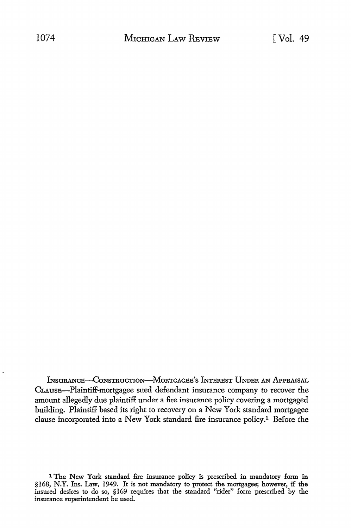INsURANCE-CoNsTRuCTioN-MoRTGAGEE's INTEREST UNDER AN APPRAISAL CLAUSE-Plaintiff-mortgagee sued defendant insurance company to recover the amount allegedly due plaintiff under a fire insurance policy covering a mortgaged building. Plaintiff based its right to recovery on a New York standard mortgagee clause incorporated into a New York standard fire insurance policy.1 Before the

1 The New York standard fire insurance policy is prescribed in mandatory form in §168, N.Y. Ins. Law, 1949. It is not mandatory to protect the mortgagee; however, if the insured desires to do so, §169 requires that the standard "rider" form prescribed by the insurance superintendent be used.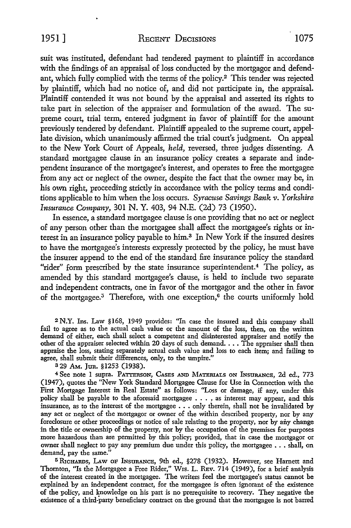1951] REcENT DECISIONS 1075

suit was instituted, defendant had tendered payment to plaintiff in accordance with the findings of an appraisal of loss conducted by the mortgagor and defendant, which fully complied with the terms of the policy.<sup>2</sup>This tender was rejected by plaintiff, which had no notice of, and did not participate in, the appraisal. Plaintiff contended it was not bound by the appraisal and asserted its rights to take part in selection of the appraiser and formulation of the award. The supreme court, trial term, entered judgment in favor of plaintiff for the amount previously tendered by defendant. Plaintiff appealed to the supreme court, appellate division, which unanimously affirmed the trial court's judgment. On appeal to the New York Court of Appeals, *held,* reversed, three judges dissenting. A standard mortgagee clause in an insurance policy creates a separate and independent insurance of the mortgagee's interest, and operates to free the mortgagee from any act or neglect of the owner, despite the fact that the owner may be, in his own right, proceeding strictly in accordance with the policy terms and conditions applicable to him when the loss occurs. *Syracuse Savings Bank v. Yorkshire Insurance Company,* 301 N. Y. 403, 94 N.E. (2d) 73 (1950).

In essence, a standard mortgagee clause is one providing that no act or neglect of any person other than the mortgagee shall affect the mortgagee's rights or interest in an insurance policy payable to him.3 In New York if the insured desires to have the mortgagee's interests expressly protected by the policy, he must have the insurer append to the end of the standard fire insurance policy the standard "rider" form prescribed by the state insurance superintendent.<sup>4</sup> The policy, as amended by this standard mortgagee's clause, is held to include two separate and independent contracts, one in favor of the mortgagor and the other in favor of the mortgagee.<sup>5</sup> Therefore, with one exception,<sup>6</sup> the courts uniformly hold

<sup>2</sup>N.Y. Ins. Law §168, 1949 provides: "In case the insured and this company shall fail to agree as to the actual cash value or the amount of the loss, then, on the written demand of either, each shall select a competent and disinterested appraiser and notify the other of the appraiser selected within 20 days of such demand. . . . The appraiser shall then appraise the loss, stating separately actual cash value and loss to each item; and failing to agree, shall submit their differences, only, to the umpire."

a 29 AM. Jun. §1253 (1938).

<sup>4</sup> See note 1 supra. PATTERSON, CASES AND MATERIALS ON INSURANCE, 2d ed., 773 (1947), quotes the "New York Standard Mortgagee Clause for Use in Connection with the First Mortgage Interest in Real Estate" as follows: "Loss or damage, if any, under this policy shall be payable to the aforesaid mortgagee ... , as interest may appear, and this insurance, as to the interest of the mortgagee . . . only therein, shall not be invalidated by any act or neglect of the mortgagor or owner of the within described property, nor by any foreclosure or other proceedings or notice of sale relating to the property, nor by any change in the title or ownership of the property, nor by the occupation of the premises for purposes more hazardous than are permitted by this policy; provided, that in case the mortgagor or owner shall neglect to pay any premium due under this policy, the mortgagee ..• shall, on demand, pay the same."

5 RICHARDS, LAW OF INSURANCE, 9th ed., §278 (1932). However, see Harnett and Thornton, "Is the Mortgagee a Free Rider," Wis. L. REv. 714 (1949), for a brief analysis of the interest created in the mortgagee. The writers feel the mortgagee's status cannot be explained by an independent contract, for the mortgagee is often ignorant of the existence of the policy, and knowledge on his part is no prerequisite to recovery. They negative the existence of a third-party beneficiary contract on the ground that the mortgagee is not barred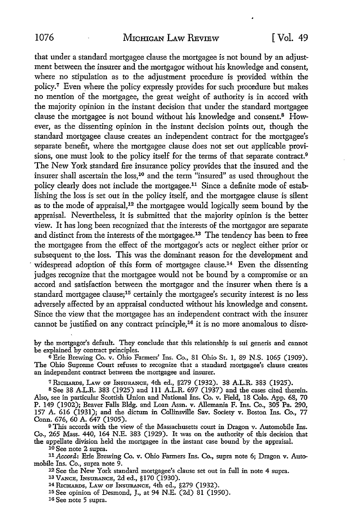that under a standard mortgagee clause the mortgagee is not bound by an adjustment between the insurer and the mortgagor without his knowledge and consent, where no stipulation as to the adjustment procedure is provided within the policy. <sup>7</sup>Even where the policy expressly provides for such procedure but makes no mention of the mortgagee, the great weight of authority is in accord with the majority opinion in the instant decision that under the standard mortgagee clause the mortgagee is not bound without his knowledge and consent.8 However, as the dissenting opinion in the instant decision points out, though the standard mortgagee clause creates an independent contract for the mortgagee's separate benefit, where the mortgagee clause does not set out applicable provisions, one must look to the policy itself for the terms of that separate contract.<sup>9</sup> The New York standard fire insurance policy provides that the insured and the insurer shall ascertain the loss,<sup>10</sup> and the term "insured" as used throughout the policy clearly does not include the mortgagee.11 Since a definite mode of establishing the loss is set out in the policy itself, and the mortgagee clause is silent as to the mode of appraisal, 12 the mortgagee would logically seem bound by the appraisal. Nevertheless, it is submitted that the majority opinion is the better view. It has long been recognized that the interests of the mortgagor are separate and distinct from the interests of the mortgagee.13 The tendency has been to free the mortgagee from the effect of the mortgagor's acts or neglect either prior or subsequent to the loss. This was the dominant reason for the development and widespread adoption of this form of mortgagee clause.<sup>14</sup> Even the dissenting judges recognize that the mortgagee would not be bound by a compromise or an accord and satisfaction between the mortgagor and the insurer when there is a standard mortgagee clause;<sup>15</sup> certainly the mortgagee's security interest is no less adversely affected by an appraisal conducted without his knowledge and consent. Since the view that the mortgagee has an independent contract with the insurer cannot be justified on any contract principle;16 it is no more anomalous to disre-

by the mortgagor's default. They conclude that this relationship is sui generis and cannot be explained by contract principles.

<sup>6</sup>Erie Brewing Co. v. Ohio Farmers' Ins. Co., 81 Ohio St. 1, 89 N.S. 1065 (1909). The Ohio Supreme Court refuses to recognize that a standard mortgagee's clause creates an independent contract between the mortgagee and insurer.

7 RICHARDS, LAw OF lNsuRANcE, 4th ed., §279 (1932). 38 A.L.R. 383 (1925).

s See 38 A.L.R. 383 (1925) and 111 A.L.R. 697 (1937) and the cases cited therein. Also, see in particular Scottish Union and National Ins. Co. v. Field, 18 Colo. App. 68, 70 P. 149 (1902); Beaver Falls Bldg. and Loan Assn. v. Allemania F. Ins. Co., 305 Pa. 290, 157 A. 616 (1931); and the dictum in Collinsville Sav. Society v. Boston Ins. Co., 77 Conn. 676, 60 A. 647 (1905).

<sup>9</sup>This accords with the view of the Massachusetts court in Dragon v. Automobile Ins. Co., 265 Mass. 440, 164 N.E. 383 (1929). It was on the authority of this decision that the appellate division held the mortgagee in the instant case bound by the appraisal.

10 See note 2 supra.

11 *Accord:* Erie Brewing Co. v. Ohio Farmers Ins. Co., supra note 6; Dragon v. Automobile Ins. Co., supra note 9.

<sup>12</sup> See the New York standard mortgagee's clause set out in full in note 4 supra.<br><sup>13</sup> VANCE, INSURANCE, 2d ed., §170 (1930).

13 VANCE, lNsURANcE, 2d ed., § 170 (1930). 14 RICHARDS, LAw oF lNsURANcE, 4th ed., §279 (1932). 15 See opinion of Desmond, J., at 94 N.E. (2d) 81 (1950).

1G See note 5 supra.